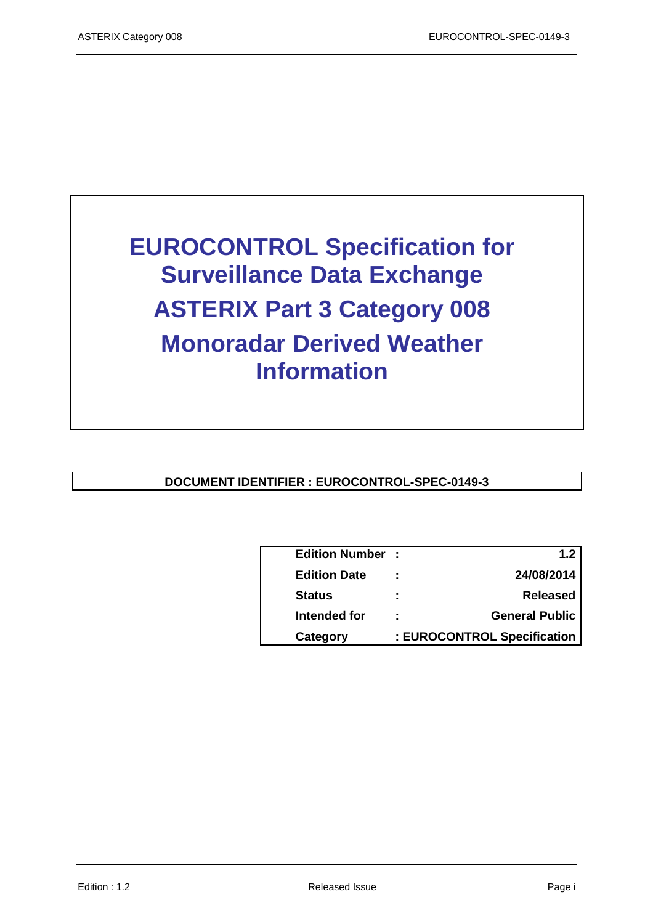

# **DOCUMENT IDENTIFIER : EUROCONTROL-SPEC-0149-3**

| <b>Edition Number:</b> |   | 1.2                         |
|------------------------|---|-----------------------------|
| <b>Edition Date</b>    |   | 24/08/2014                  |
| <b>Status</b>          | ÷ | <b>Released</b>             |
| Intended for           | ٠ | <b>General Public</b>       |
| Category               |   | : EUROCONTROL Specification |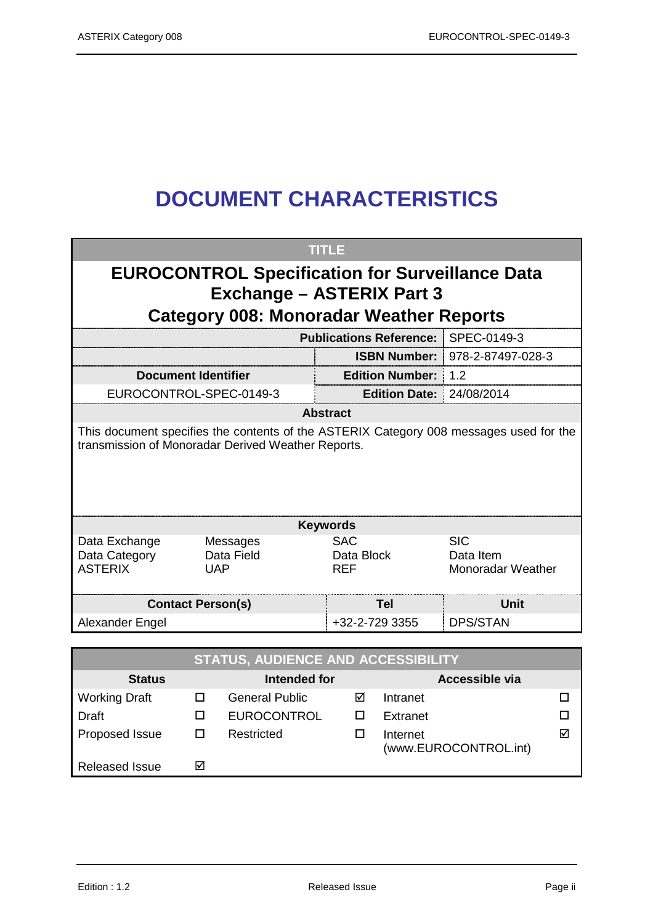# **DOCUMENT CHARACTERISTICS**

|                                                                                                                                              | <b>TITLE</b>                               |                                              |  |  |
|----------------------------------------------------------------------------------------------------------------------------------------------|--------------------------------------------|----------------------------------------------|--|--|
| <b>EUROCONTROL Specification for Surveillance Data</b><br><b>Exchange - ASTERIX Part 3</b>                                                   |                                            |                                              |  |  |
| <b>Category 008: Monoradar Weather Reports</b>                                                                                               |                                            |                                              |  |  |
|                                                                                                                                              | <b>Publications Reference: SPEC-0149-3</b> |                                              |  |  |
|                                                                                                                                              |                                            | ISBN Number: 978-2-87497-028-3               |  |  |
| <b>Document Identifier</b>                                                                                                                   | <b>Edition Number: 1.2</b>                 |                                              |  |  |
| EUROCONTROL-SPEC-0149-3                                                                                                                      | <b>Edition Date: 24/08/2014</b>            |                                              |  |  |
|                                                                                                                                              | <b>Abstract</b>                            |                                              |  |  |
| This document specifies the contents of the ASTERIX Category 008 messages used for the<br>transmission of Monoradar Derived Weather Reports. |                                            |                                              |  |  |
|                                                                                                                                              | <b>Keywords</b>                            |                                              |  |  |
| Data Exchange<br>Messages<br>Data Field<br>Data Category<br><b>ASTERIX</b><br><b>UAP</b>                                                     | <b>SAC</b><br>Data Block<br><b>REF</b>     | <b>SIC</b><br>Data Item<br>Monoradar Weather |  |  |
| <b>Contact Person(s)</b><br>Tel<br>Unit                                                                                                      |                                            |                                              |  |  |
| Alexander Engel                                                                                                                              | +32-2-729 3355                             | <b>DPS/STAN</b>                              |  |  |
| STATUS AUDIENCE AND ACCESSIRILITY                                                                                                            |                                            |                                              |  |  |

| <b>STATUS, AUDIENCE AND ACCESSIBILITY</b>       |   |                       |   |                                   |   |  |  |
|-------------------------------------------------|---|-----------------------|---|-----------------------------------|---|--|--|
| Accessible via<br>Intended for<br><b>Status</b> |   |                       |   |                                   |   |  |  |
| <b>Working Draft</b>                            |   | <b>General Public</b> | ☑ | Intranet                          |   |  |  |
| <b>Draft</b>                                    |   | <b>EUROCONTROL</b>    |   | Extranet                          |   |  |  |
| Proposed Issue                                  |   | Restricted            |   | Internet<br>(www.EUROCONTROL.int) | ⊽ |  |  |
| <b>Released Issue</b>                           | ☑ |                       |   |                                   |   |  |  |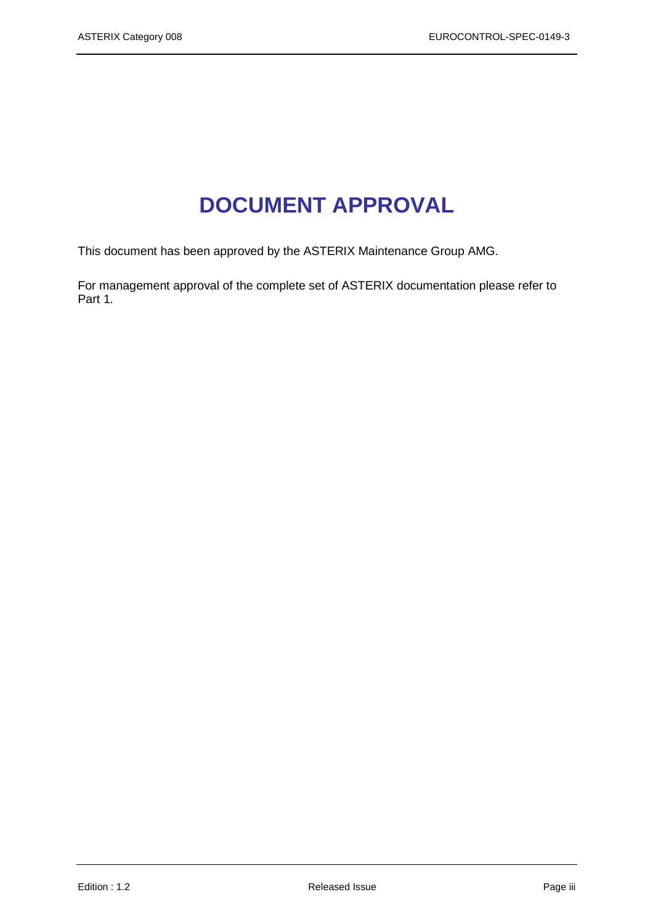# **DOCUMENT APPROVAL**

This document has been approved by the ASTERIX Maintenance Group AMG.

For management approval of the complete set of ASTERIX documentation please refer to Part 1.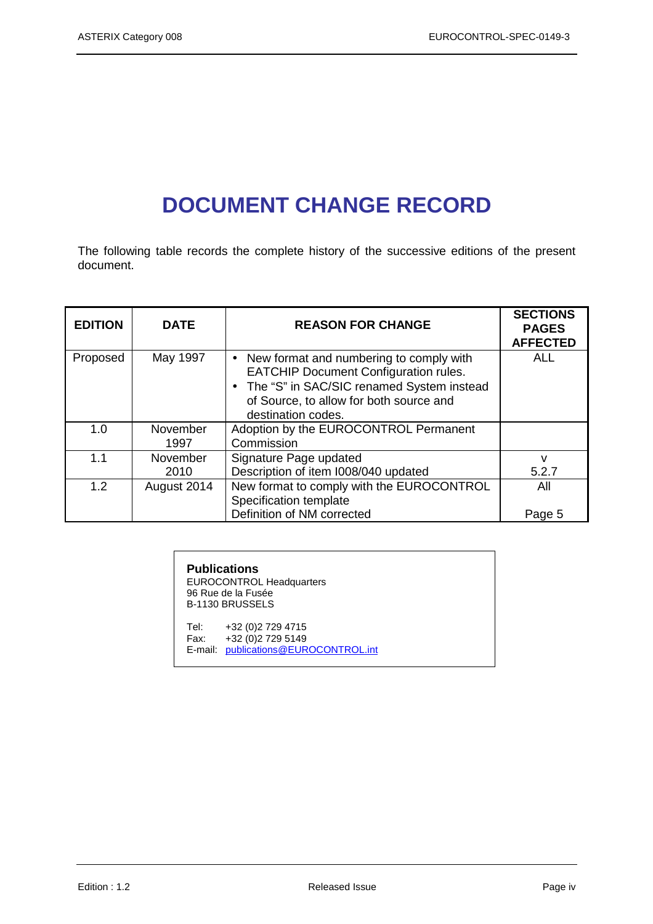# **DOCUMENT CHANGE RECORD**

The following table records the complete history of the successive editions of the present document.

| <b>EDITION</b> | <b>DATE</b>      | <b>REASON FOR CHANGE</b>                                                                                                                                                                                  | <b>SECTIONS</b><br><b>PAGES</b><br><b>AFFECTED</b> |
|----------------|------------------|-----------------------------------------------------------------------------------------------------------------------------------------------------------------------------------------------------------|----------------------------------------------------|
| Proposed       | May 1997         | • New format and numbering to comply with<br><b>EATCHIP Document Configuration rules.</b><br>• The "S" in SAC/SIC renamed System instead<br>of Source, to allow for both source and<br>destination codes. | ALL                                                |
| 1.0            | November<br>1997 | Adoption by the EUROCONTROL Permanent<br>Commission                                                                                                                                                       |                                                    |
| 1.1            | November<br>2010 | Signature Page updated<br>Description of item I008/040 updated                                                                                                                                            | v<br>5.2.7                                         |
| 1.2            | August 2014      | New format to comply with the EUROCONTROL<br>Specification template<br>Definition of NM corrected                                                                                                         | All<br>Page 5                                      |

|      | <b>Publications</b><br><b>EUROCONTROL Headquarters</b><br>96 Rue de la Fusée<br>B-1130 BRUSSELS |
|------|-------------------------------------------------------------------------------------------------|
| Tel: | +32 (0) 2729 4715                                                                               |
| Fax: | +32 (0)2 729 5149                                                                               |
|      | E-mail: publications@EUROCONTROL.int                                                            |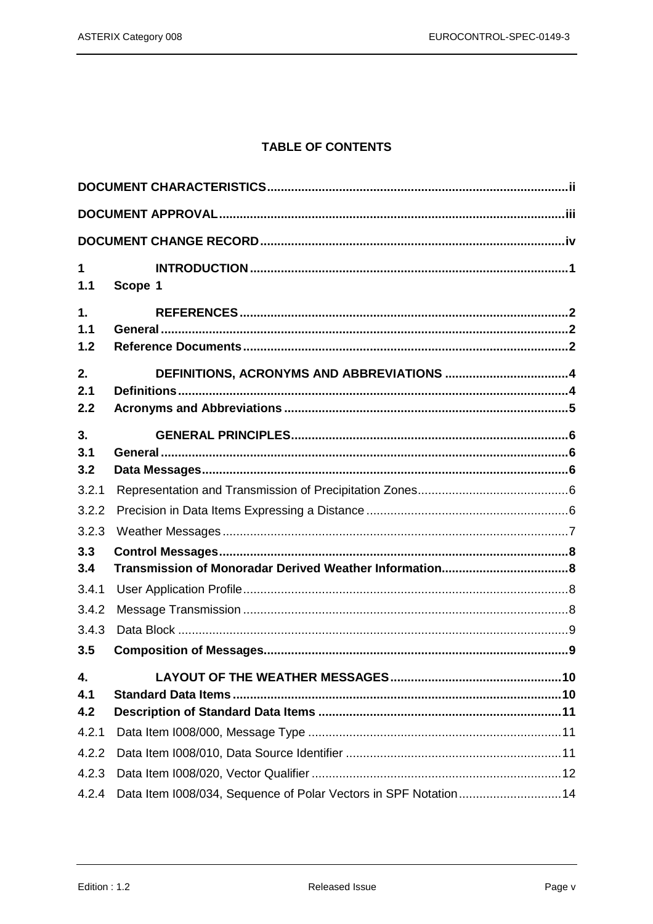# **TABLE OF CONTENTS**

| $\mathbf 1$<br>1.1 | Scope 1                                                          |
|--------------------|------------------------------------------------------------------|
| 1.<br>1.1<br>1.2   |                                                                  |
| 2.                 | DEFINITIONS, ACRONYMS AND ABBREVIATIONS 4                        |
| 2.1                |                                                                  |
| 2.2                |                                                                  |
| 3.                 |                                                                  |
| 3.1                |                                                                  |
| 3.2                |                                                                  |
| 3.2.1              |                                                                  |
| 3.2.2              |                                                                  |
| 3.2.3              |                                                                  |
| 3.3                |                                                                  |
| 3.4                |                                                                  |
| 3.4.1              |                                                                  |
| 3.4.2              |                                                                  |
| 3.4.3              |                                                                  |
| 3.5                |                                                                  |
| 4.                 |                                                                  |
| 4.1                |                                                                  |
| 4.2                |                                                                  |
| 4.2.1              |                                                                  |
| 4.2.2              |                                                                  |
| 4.2.3              |                                                                  |
| 4.2.4              | Data Item I008/034, Sequence of Polar Vectors in SPF Notation 14 |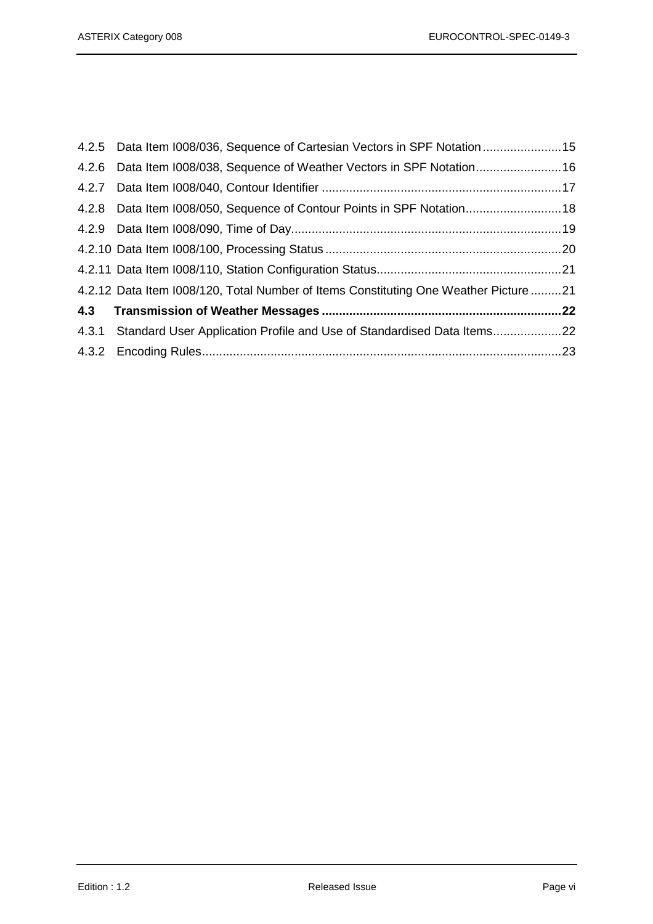| 4.2.5 Data Item I008/036, Sequence of Cartesian Vectors in SPF Notation15            |  |
|--------------------------------------------------------------------------------------|--|
| 4.2.6 Data Item I008/038, Sequence of Weather Vectors in SPF Notation 16             |  |
|                                                                                      |  |
| 4.2.8 Data Item I008/050, Sequence of Contour Points in SPF Notation18               |  |
|                                                                                      |  |
|                                                                                      |  |
|                                                                                      |  |
| 4.2.12 Data Item I008/120, Total Number of Items Constituting One Weather Picture 21 |  |
|                                                                                      |  |
| 4.3.1 Standard User Application Profile and Use of Standardised Data Items22         |  |
|                                                                                      |  |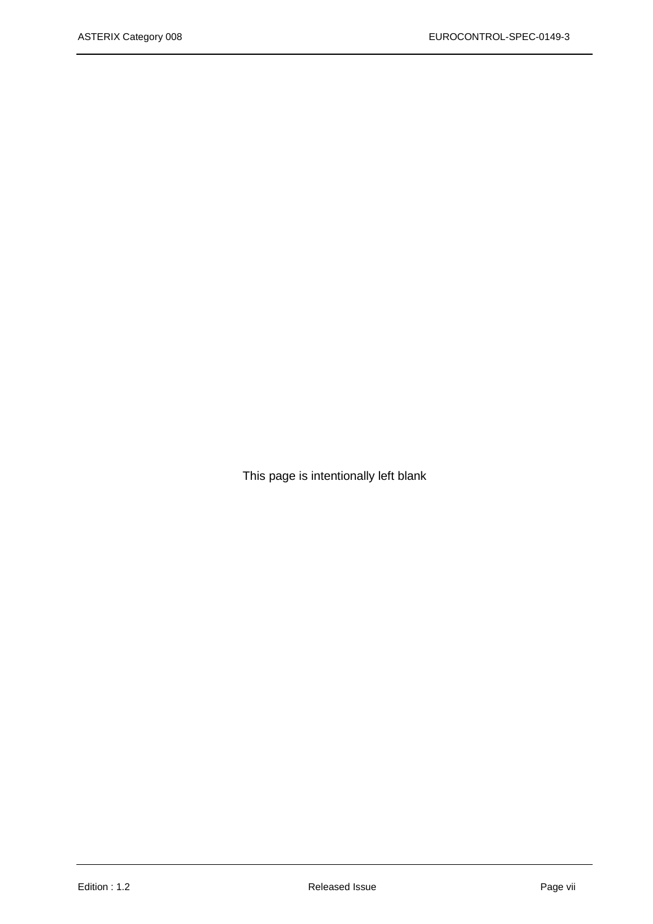This page is intentionally left blank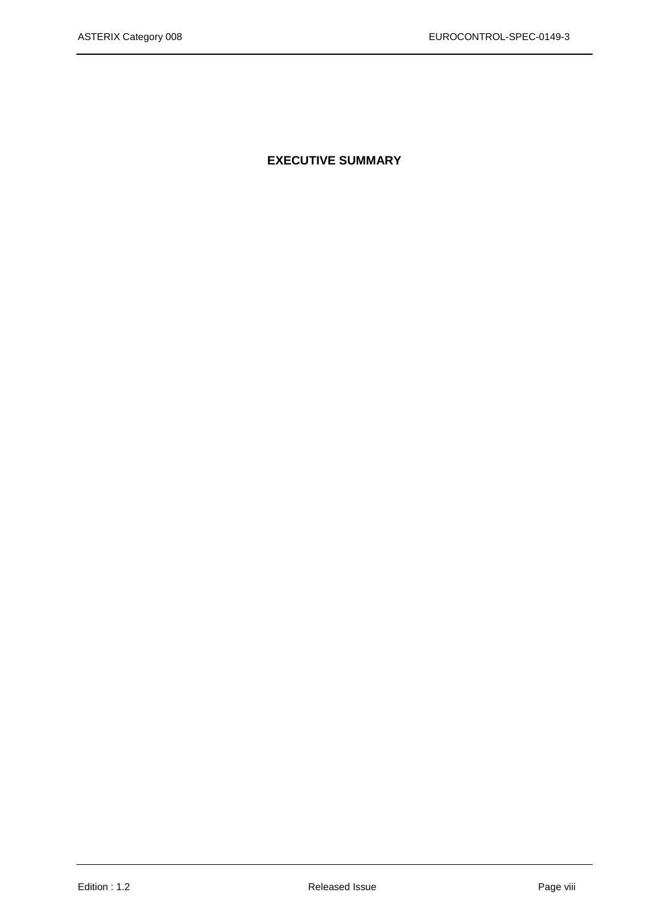# **EXECUTIVE SUMMARY**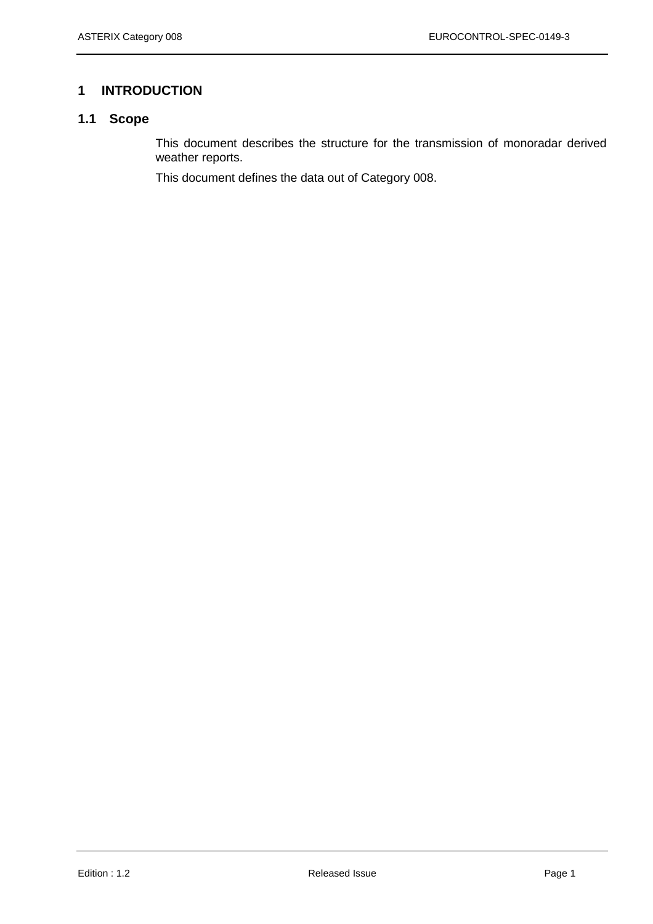# **1 INTRODUCTION**

# **1.1 Scope**

This document describes the structure for the transmission of monoradar derived weather reports.

This document defines the data out of Category 008.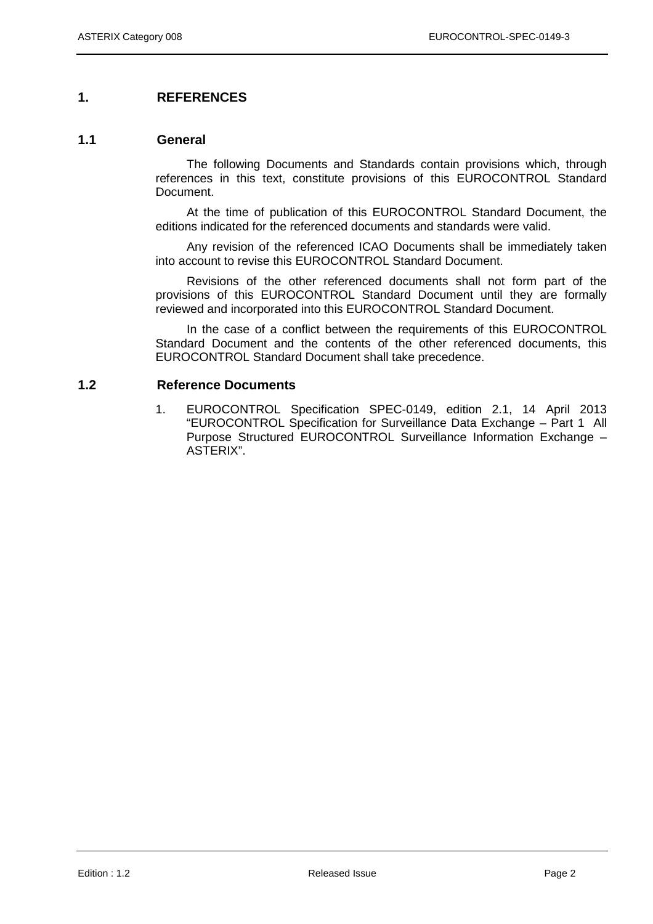# **1. REFERENCES**

# **1.1 General**

 The following Documents and Standards contain provisions which, through references in this text, constitute provisions of this EUROCONTROL Standard Document.

 At the time of publication of this EUROCONTROL Standard Document, the editions indicated for the referenced documents and standards were valid.

 Any revision of the referenced ICAO Documents shall be immediately taken into account to revise this EUROCONTROL Standard Document.

 Revisions of the other referenced documents shall not form part of the provisions of this EUROCONTROL Standard Document until they are formally reviewed and incorporated into this EUROCONTROL Standard Document.

 In the case of a conflict between the requirements of this EUROCONTROL Standard Document and the contents of the other referenced documents, this EUROCONTROL Standard Document shall take precedence.

#### **1.2 Reference Documents**

1. EUROCONTROL Specification SPEC-0149, edition 2.1, 14 April 2013 "EUROCONTROL Specification for Surveillance Data Exchange – Part 1 All Purpose Structured EUROCONTROL Surveillance Information Exchange – ASTERIX".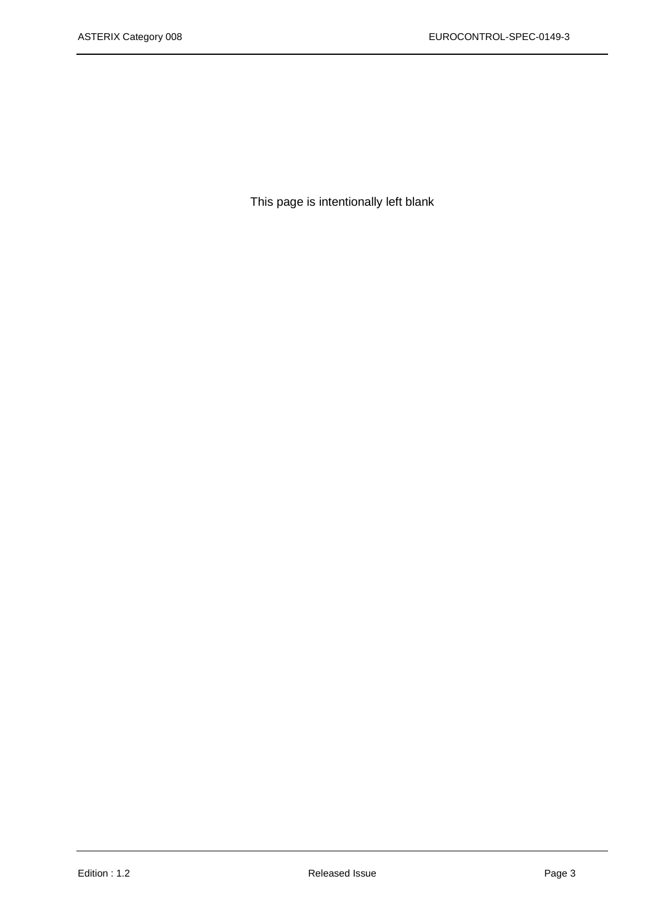This page is intentionally left blank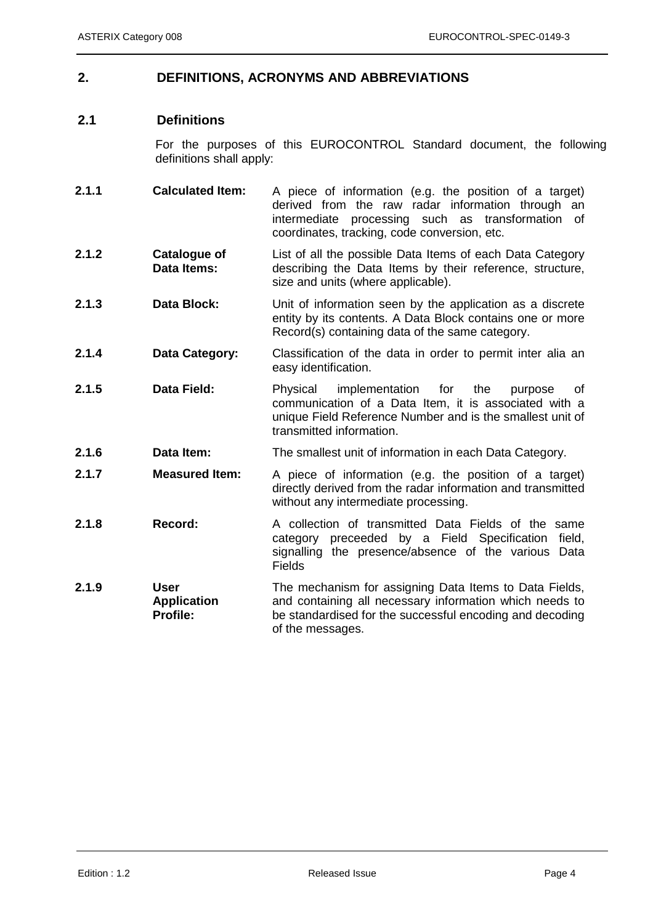## **2. DEFINITIONS, ACRONYMS AND ABBREVIATIONS**

#### **2.1 Definitions**

 For the purposes of this EUROCONTROL Standard document, the following definitions shall apply:

- **2.1.1 Calculated Item:** A piece of information (e.g. the position of a target) derived from the raw radar information through an intermediate processing such as transformation of coordinates, tracking, code conversion, etc.
- **2.1.2 Catalogue of Data Items:** List of all the possible Data Items of each Data Category describing the Data Items by their reference, structure, size and units (where applicable).
- **2.1.3 Data Block:** Unit of information seen by the application as a discrete entity by its contents. A Data Block contains one or more Record(s) containing data of the same category.
- **2.1.4 Data Category:** Classification of the data in order to permit inter alia an easy identification.
- **2.1.5 Data Field:** Physical implementation for the purpose of communication of a Data Item, it is associated with a unique Field Reference Number and is the smallest unit of transmitted information.
- **2.1.6 Data Item:** The smallest unit of information in each Data Category.
- **2.1.7 Measured Item:** A piece of information (e.g. the position of a target) directly derived from the radar information and transmitted without any intermediate processing.
- **2.1.8 Record:** A collection of transmitted Data Fields of the same category preceeded by a Field Specification field, signalling the presence/absence of the various Data **Fields**
- **2.1.9 User Application Profile:** The mechanism for assigning Data Items to Data Fields, and containing all necessary information which needs to be standardised for the successful encoding and decoding of the messages.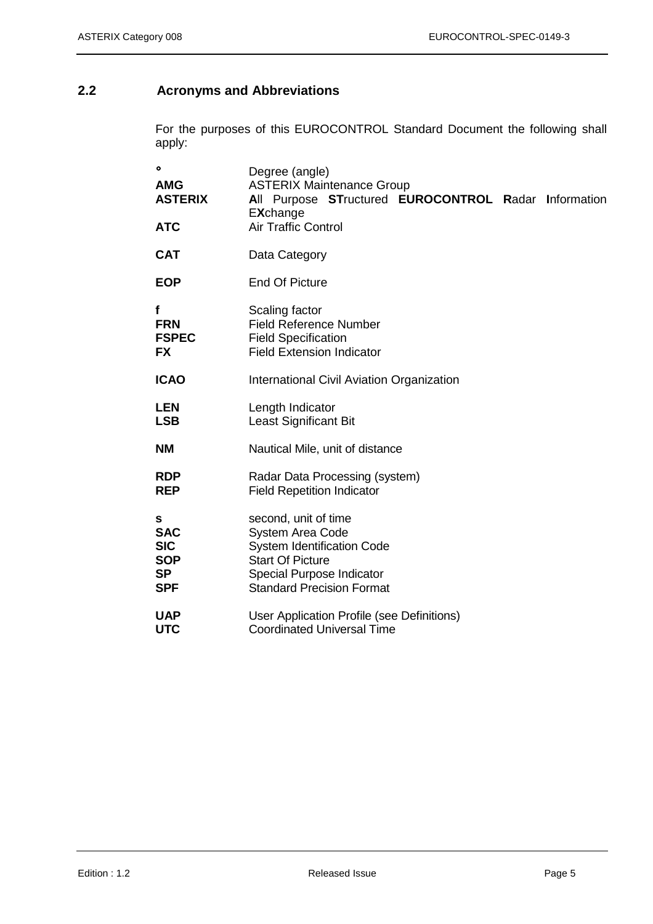# **2.2 Acronyms and Abbreviations**

 For the purposes of this EUROCONTROL Standard Document the following shall apply:

| $\bullet$<br><b>AMG</b><br><b>ATC</b>                                  | <b>ASTERIX</b> | Degree (angle)<br><b>ASTERIX Maintenance Group</b><br>All Purpose STructured EUROCONTROL Radar Information<br>EXchange<br><b>Air Traffic Control</b>                      |  |
|------------------------------------------------------------------------|----------------|---------------------------------------------------------------------------------------------------------------------------------------------------------------------------|--|
|                                                                        |                |                                                                                                                                                                           |  |
| <b>CAT</b>                                                             |                | Data Category                                                                                                                                                             |  |
| <b>EOP</b>                                                             |                | <b>End Of Picture</b>                                                                                                                                                     |  |
| f<br><b>FRN</b><br><b>FX</b>                                           | <b>FSPEC</b>   | Scaling factor<br><b>Field Reference Number</b><br><b>Field Specification</b><br><b>Field Extension Indicator</b>                                                         |  |
| <b>ICAO</b>                                                            |                | International Civil Aviation Organization                                                                                                                                 |  |
| <b>LEN</b><br><b>LSB</b>                                               |                | Length Indicator<br><b>Least Significant Bit</b>                                                                                                                          |  |
| <b>NM</b>                                                              |                | Nautical Mile, unit of distance                                                                                                                                           |  |
| <b>RDP</b><br><b>REP</b>                                               |                | Radar Data Processing (system)<br><b>Field Repetition Indicator</b>                                                                                                       |  |
| S<br><b>SAC</b><br><b>SIC</b><br><b>SOP</b><br><b>SP</b><br><b>SPF</b> |                | second, unit of time<br>System Area Code<br><b>System Identification Code</b><br><b>Start Of Picture</b><br>Special Purpose Indicator<br><b>Standard Precision Format</b> |  |
| <b>UAP</b><br><b>UTC</b>                                               |                | User Application Profile (see Definitions)<br><b>Coordinated Universal Time</b>                                                                                           |  |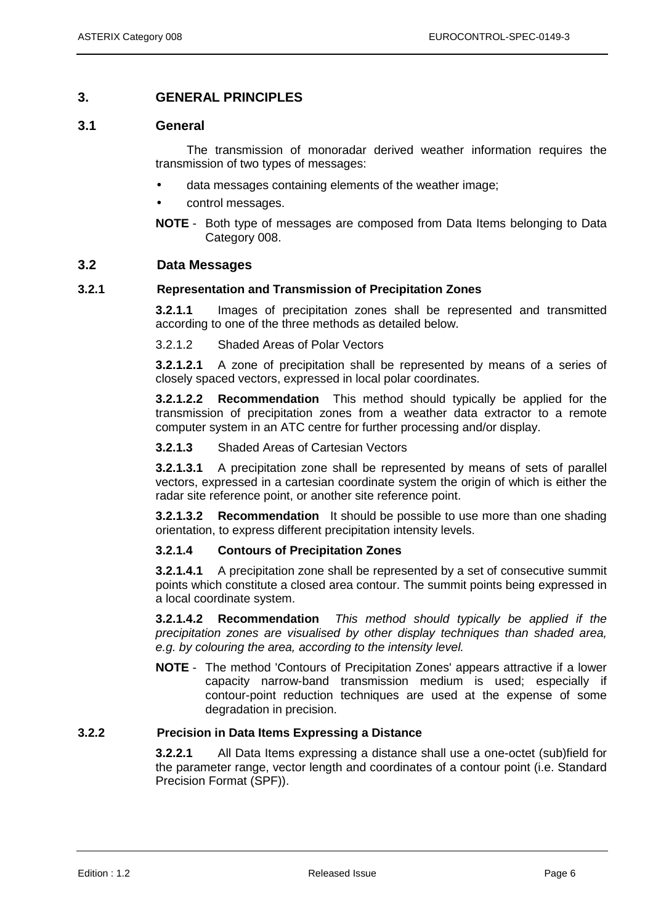# **3. GENERAL PRINCIPLES**

## **3.1 General**

 The transmission of monoradar derived weather information requires the transmission of two types of messages:

- data messages containing elements of the weather image;
- control messages.
- **NOTE** Both type of messages are composed from Data Items belonging to Data Category 008.

#### **3.2 Data Messages**

#### **3.2.1 Representation and Transmission of Precipitation Zones**

**3.2.1.1** Images of precipitation zones shall be represented and transmitted according to one of the three methods as detailed below.

3.2.1.2 Shaded Areas of Polar Vectors

**3.2.1.2.1** A zone of precipitation shall be represented by means of a series of closely spaced vectors, expressed in local polar coordinates.

**3.2.1.2.2 Recommendation** This method should typically be applied for the transmission of precipitation zones from a weather data extractor to a remote computer system in an ATC centre for further processing and/or display.

#### **3.2.1.3** Shaded Areas of Cartesian Vectors

**3.2.1.3.1** A precipitation zone shall be represented by means of sets of parallel vectors, expressed in a cartesian coordinate system the origin of which is either the radar site reference point, or another site reference point.

**3.2.1.3.2 Recommendation** It should be possible to use more than one shading orientation, to express different precipitation intensity levels.

#### **3.2.1.4 Contours of Precipitation Zones**

**3.2.1.4.1** A precipitation zone shall be represented by a set of consecutive summit points which constitute a closed area contour. The summit points being expressed in a local coordinate system.

**3.2.1.4.2 Recommendation** This method should typically be applied if the precipitation zones are visualised by other display techniques than shaded area, e.g. by colouring the area, according to the intensity level.

**NOTE** - The method 'Contours of Precipitation Zones' appears attractive if a lower capacity narrow-band transmission medium is used; especially if contour-point reduction techniques are used at the expense of some degradation in precision.

#### **3.2.2 Precision in Data Items Expressing a Distance**

**3.2.2.1** All Data Items expressing a distance shall use a one-octet (sub)field for the parameter range, vector length and coordinates of a contour point (i.e. Standard Precision Format (SPF)).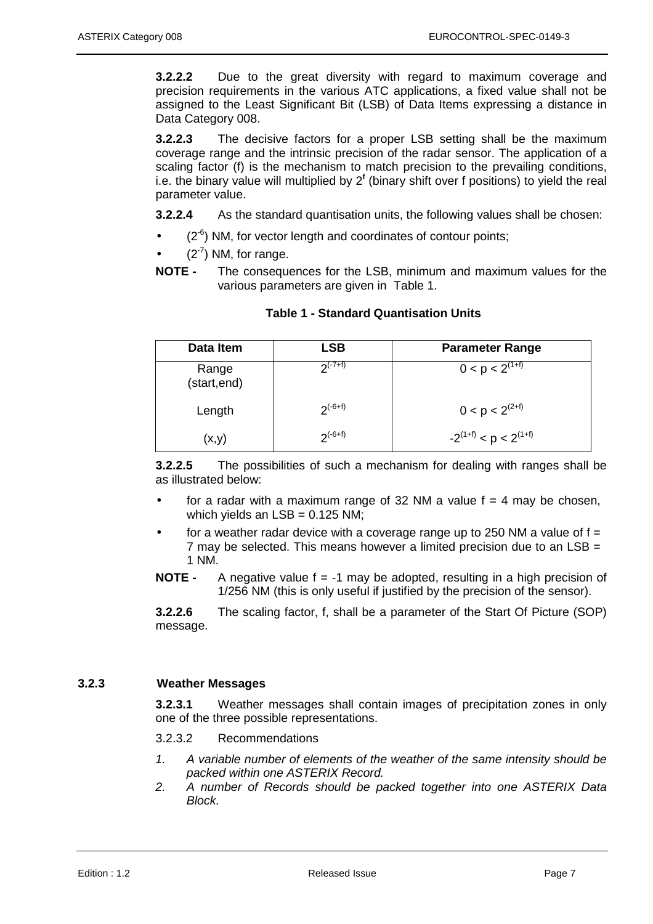**3.2.2.2** Due to the great diversity with regard to maximum coverage and precision requirements in the various ATC applications, a fixed value shall not be assigned to the Least Significant Bit (LSB) of Data Items expressing a distance in Data Category 008.

**3.2.2.3** The decisive factors for a proper LSB setting shall be the maximum coverage range and the intrinsic precision of the radar sensor. The application of a scaling factor (f) is the mechanism to match precision to the prevailing conditions, i.e. the binary value will multiplied by 2**<sup>f</sup>** (binary shift over f positions) to yield the real parameter value.

**3.2.2.4** As the standard quantisation units, the following values shall be chosen:

- $(2<sup>-6</sup>)$  NM, for vector length and coordinates of contour points;
- $(2<sup>-7</sup>)$  NM, for range.
- **NOTE -** The consequences for the LSB, minimum and maximum values for the various parameters are given in Table 1.

| Data Item            | <b>LSB</b>                 | <b>Parameter Range</b>         |
|----------------------|----------------------------|--------------------------------|
| Range<br>(start,end) | $\Omega$ <sup>(-7+f)</sup> | $0 < p < 2^{(\overline{1+f})}$ |
| Length               | $2^{(-6+f)}$               | $0 < p < 2^{(2+f)}$            |
| (x,y)                | $2^{(-6+f)}$               | $-2^{(1+f)} < p < 2^{(1+f)}$   |

#### **Table 1 - Standard Quantisation Units**

**3.2.2.5** The possibilities of such a mechanism for dealing with ranges shall be as illustrated below:

- for a radar with a maximum range of 32 NM a value  $f = 4$  may be chosen, which yields an  $LSB = 0.125$  NM;
- for a weather radar device with a coverage range up to 250 NM a value of  $f =$ 7 may be selected. This means however a limited precision due to an  $LSB =$ 1 NM.
- **NOTE -** A negative value f = -1 may be adopted, resulting in a high precision of 1/256 NM (this is only useful if justified by the precision of the sensor).

**3.2.2.6** The scaling factor, f, shall be a parameter of the Start Of Picture (SOP) message.

#### **3.2.3 Weather Messages**

**3.2.3.1** Weather messages shall contain images of precipitation zones in only one of the three possible representations.

- 3.2.3.2 Recommendations
- 1. A variable number of elements of the weather of the same intensity should be packed within one ASTERIX Record.
- 2. A number of Records should be packed together into one ASTERIX Data Block.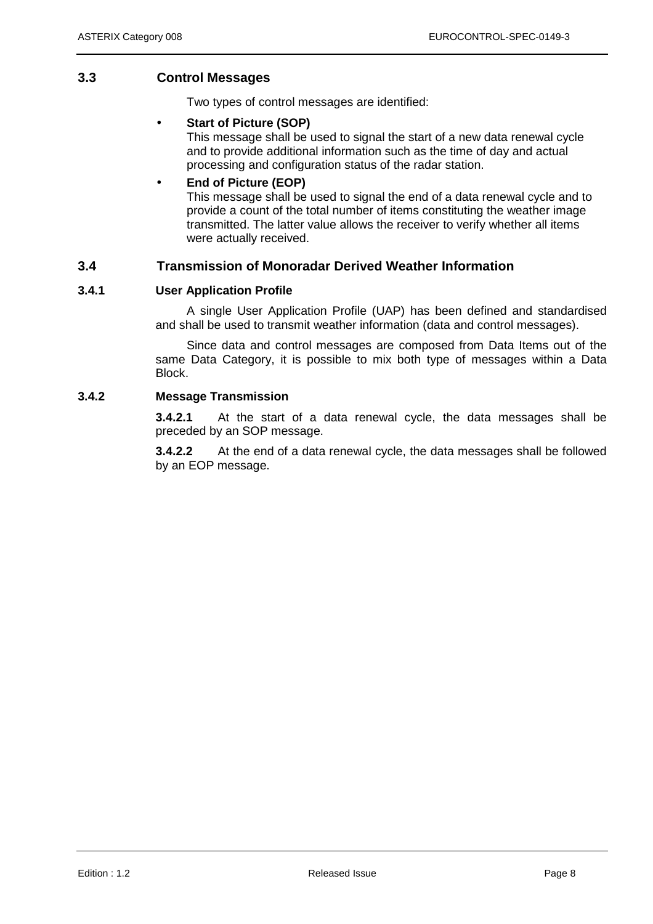# **3.3 Control Messages**

Two types of control messages are identified:

#### • **Start of Picture (SOP)**

This message shall be used to signal the start of a new data renewal cycle and to provide additional information such as the time of day and actual processing and configuration status of the radar station.

#### • **End of Picture (EOP)**

This message shall be used to signal the end of a data renewal cycle and to provide a count of the total number of items constituting the weather image transmitted. The latter value allows the receiver to verify whether all items were actually received.

## **3.4 Transmission of Monoradar Derived Weather Information**

#### **3.4.1 User Application Profile**

 A single User Application Profile (UAP) has been defined and standardised and shall be used to transmit weather information (data and control messages).

 Since data and control messages are composed from Data Items out of the same Data Category, it is possible to mix both type of messages within a Data Block.

# **3.4.2 Message Transmission**

**3.4.2.1** At the start of a data renewal cycle, the data messages shall be preceded by an SOP message.

**3.4.2.2** At the end of a data renewal cycle, the data messages shall be followed by an EOP message.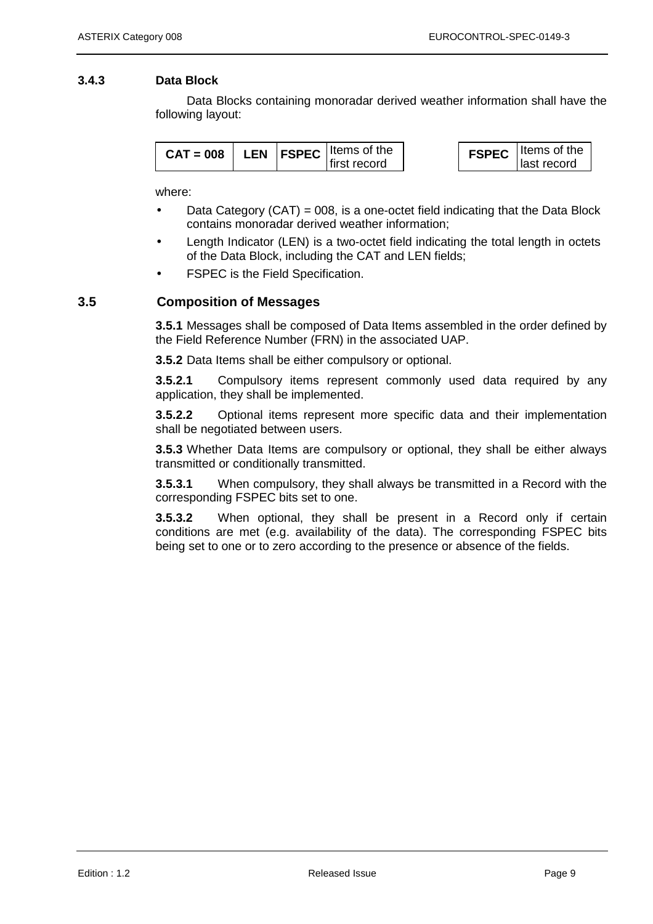#### **3.4.3 Data Block**

 Data Blocks containing monoradar derived weather information shall have the following layout:

| CAT = 008   LEN   FSPEC   Items of the $\vert$ | <b>FSPEC</b> $ $ Items of the |
|------------------------------------------------|-------------------------------|
| Ifirst record                                  | last record                   |

where:

- Data Category  $(CAT) = 008$ , is a one-octet field indicating that the Data Block contains monoradar derived weather information;
- Length Indicator (LEN) is a two-octet field indicating the total length in octets of the Data Block, including the CAT and LEN fields;
- FSPEC is the Field Specification.

## **3.5 Composition of Messages**

**3.5.1** Messages shall be composed of Data Items assembled in the order defined by the Field Reference Number (FRN) in the associated UAP.

**3.5.2** Data Items shall be either compulsory or optional.

**3.5.2.1** Compulsory items represent commonly used data required by any application, they shall be implemented.

**3.5.2.2** Optional items represent more specific data and their implementation shall be negotiated between users.

**3.5.3** Whether Data Items are compulsory or optional, they shall be either always transmitted or conditionally transmitted.

**3.5.3.1** When compulsory, they shall always be transmitted in a Record with the corresponding FSPEC bits set to one.

**3.5.3.2** When optional, they shall be present in a Record only if certain conditions are met (e.g. availability of the data). The corresponding FSPEC bits being set to one or to zero according to the presence or absence of the fields.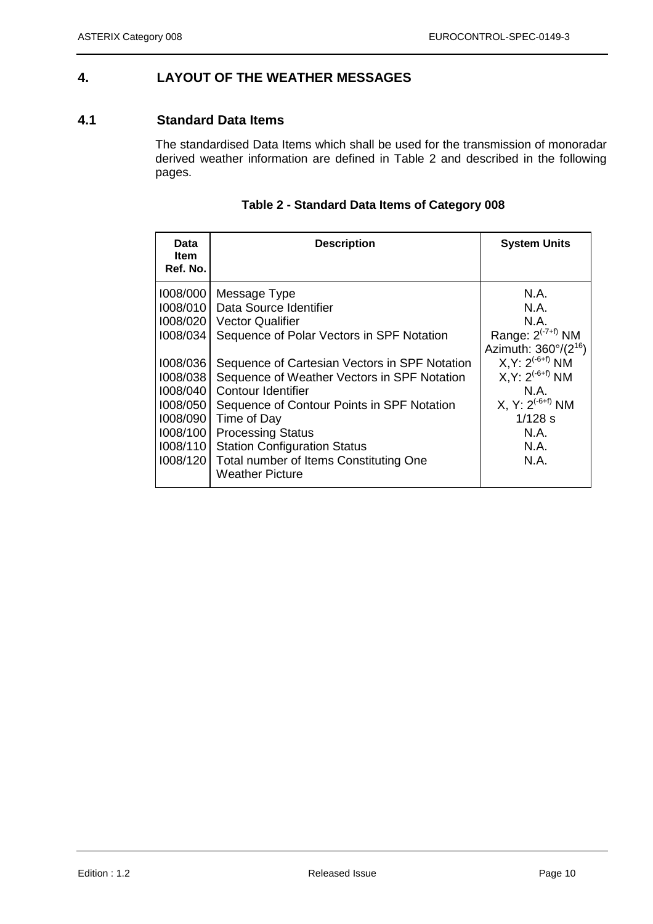# **4. LAYOUT OF THE WEATHER MESSAGES**

# **4.1 Standard Data Items**

 The standardised Data Items which shall be used for the transmission of monoradar derived weather information are defined in Table 2 and described in the following pages.

| Table 2 - Standard Data Items of Category 008 |  |  |  |  |  |
|-----------------------------------------------|--|--|--|--|--|
|-----------------------------------------------|--|--|--|--|--|

| Data<br>Item<br>Ref. No. | <b>Description</b>                            | <b>System Units</b>              |
|--------------------------|-----------------------------------------------|----------------------------------|
| 1008/000                 | Message Type                                  | N.A.                             |
| 1008/010                 | Data Source Identifier                        | N.A.                             |
| 1008/020                 | <b>Vector Qualifier</b>                       | N.A.                             |
| 1008/034                 | Sequence of Polar Vectors in SPF Notation     | Range: $2^{(-7+f)}$ NM           |
|                          |                                               | Azimuth: 360°/(2 <sup>16</sup> ) |
| 1008/036                 | Sequence of Cartesian Vectors in SPF Notation | $X, Y: 2^{(-6+f)}$ NM            |
| 1008/038                 | Sequence of Weather Vectors in SPF Notation   | $X.Y: 2^{(-6+f)}$ NM             |
| 1008/040                 | Contour Identifier                            | N.A.                             |
| 1008/050                 | Sequence of Contour Points in SPF Notation    | $X, Y: 2^{(-6+f)}$ NM            |
| 1008/090                 | Time of Day                                   | $1/128$ s                        |
| 1008/100                 | <b>Processing Status</b>                      | N.A.                             |
| 1008/110                 | <b>Station Configuration Status</b>           | N.A.                             |
| 1008/120                 | Total number of Items Constituting One        | N.A.                             |
|                          | <b>Weather Picture</b>                        |                                  |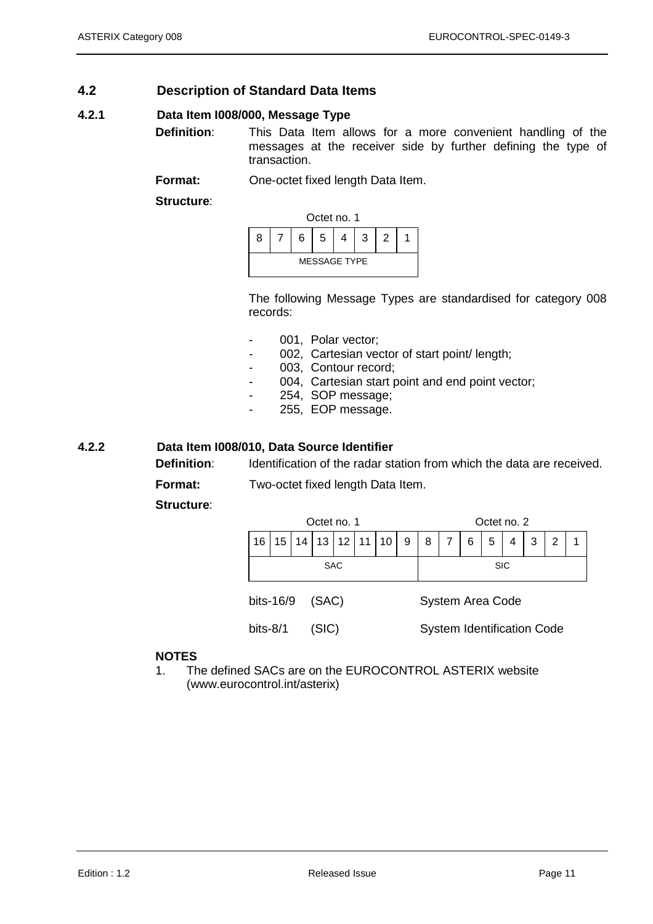# **4.2 Description of Standard Data Items**

# **4.2.1 Data Item I008/000, Message Type**

**Definition:** This Data Item allows for a more convenient handling of the messages at the receiver side by further defining the type of transaction.

**Format:** One-octet fixed length Data Item.

 **Structure**:



 The following Message Types are standardised for category 008 records:

- 001, Polar vector;
- 002, Cartesian vector of start point/ length;
- 003, Contour record;
- 004, Cartesian start point and end point vector;
- 254, SOP message;
- 255, EOP message.

#### **4.2.2 Data Item I008/010, Data Source Identifier**

**Definition:** Identification of the radar station from which the data are received.

**Format:** Two-octet fixed length Data Item.

 **Structure**:



## **NOTES**

 1. The defined SACs are on the EUROCONTROL ASTERIX website (www.eurocontrol.int/asterix)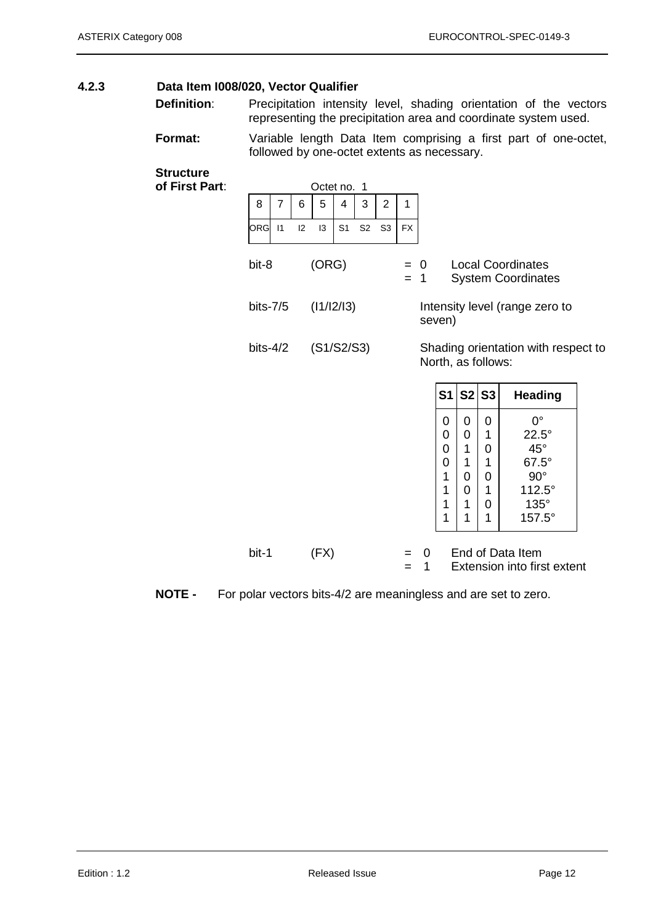- **4.2.3 Data Item I008/020, Vector Qualifier** 
	- **Definition:** Precipitation intensity level, shading orientation of the vectors representing the precipitation area and coordinate system used.
	- **Format:** Variable length Data Item comprising a first part of one-octet, followed by one-octet extents as necessary.

# **Structure**

| of First Part: |            |                 |             | Octet no. 1 |                |                |                |            |                                  |        |                                                                                        |                                                |                                                                                                                     |  |
|----------------|------------|-----------------|-------------|-------------|----------------|----------------|----------------|------------|----------------------------------|--------|----------------------------------------------------------------------------------------|------------------------------------------------|---------------------------------------------------------------------------------------------------------------------|--|
|                | 8          | $\overline{7}$  | 6           | 5           | 4              | 3              | $\overline{2}$ | 1          |                                  |        |                                                                                        |                                                |                                                                                                                     |  |
|                | <b>ORG</b> | $\overline{11}$ | $ 2\rangle$ | 13          | S <sub>1</sub> | S <sub>2</sub> | S <sub>3</sub> | <b>FX</b>  |                                  |        |                                                                                        |                                                |                                                                                                                     |  |
|                | bit-8      |                 |             | (ORG)       |                |                |                | $=$<br>$=$ | $\overline{0}$<br>$\overline{1}$ |        |                                                                                        |                                                | <b>Local Coordinates</b><br><b>System Coordinates</b>                                                               |  |
|                | bits-7/5   |                 |             | (11/12/13)  |                |                |                |            | seven)                           |        |                                                                                        |                                                | Intensity level (range zero to                                                                                      |  |
|                | bits-4/2   |                 |             | (S1/S2/S3)  |                |                |                |            | North, as follows:               |        |                                                                                        |                                                | Shading orientation with respect to                                                                                 |  |
|                |            |                 |             |             |                |                |                |            |                                  | S1     |                                                                                        | $S2$ S3                                        | <b>Heading</b>                                                                                                      |  |
|                |            |                 |             |             |                |                |                |            | 0<br>0<br>1<br>1<br>1<br>1       | 0<br>0 | $\mathbf 0$<br>$\mathbf 0$<br>1<br>$\mathbf 1$<br>$\mathbf 0$<br>$\mathbf 0$<br>1<br>1 | $\mathbf 0$<br>1<br>0<br>1<br>0<br>1<br>0<br>1 | $0^{\circ}$<br>$22.5^\circ$<br>$45^{\circ}$<br>$67.5^\circ$<br>$90^\circ$<br>$112.5^\circ$<br>$135^\circ$<br>157.5° |  |
|                | bit-1      |                 |             | (FX)        |                |                |                | =<br>=     | 0<br>1                           |        |                                                                                        |                                                | End of Data Item<br><b>Extension into first extent</b>                                                              |  |

**NOTE -** For polar vectors bits-4/2 are meaningless and are set to zero.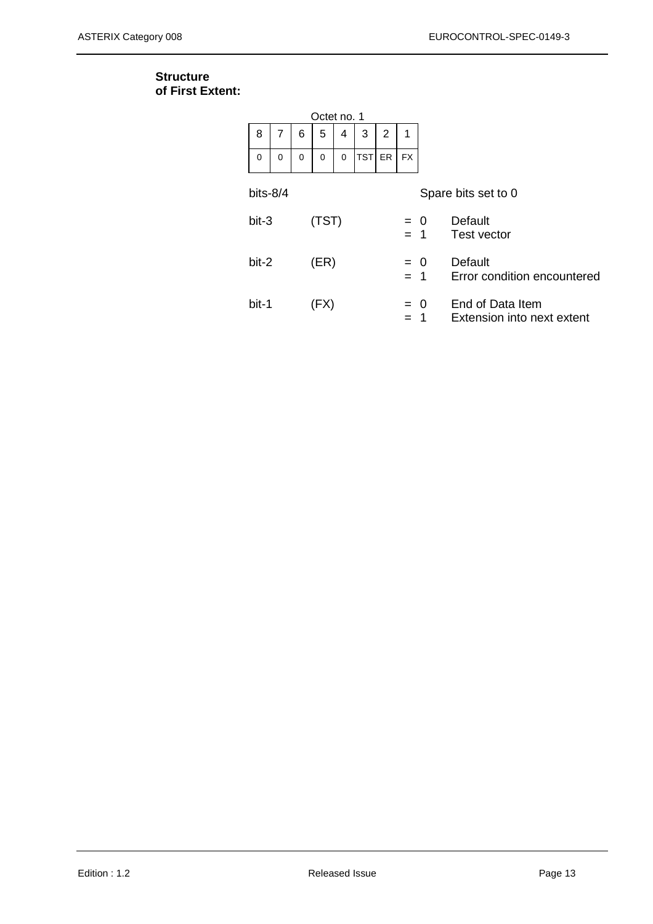#### **Structure of First Extent:**

|          |      |   | Octet no. 1 |   |            |    |                |    |                                                |
|----------|------|---|-------------|---|------------|----|----------------|----|------------------------------------------------|
| 8        | 7    | 6 | 5           | 4 | 3          | 2  | 1              |    |                                                |
| 0        | 0    | 0 | $\Omega$    | 0 | <b>TST</b> | ER | <b>FX</b>      |    |                                                |
| bits-8/4 |      |   |             |   |            |    |                |    | Spare bits set to 0                            |
| bit-3    |      |   | (TST)       |   |            |    | $= 0$<br>$=$ 1 |    | Default<br>Test vector                         |
| bit-2    | (ER) |   |             |   |            |    | $= 0$<br>$=$ 1 |    | Default<br>Error condition encountered         |
| bit-1    |      |   | (FX)        |   |            |    | $= 0$<br>$=$   | -1 | End of Data Item<br>Extension into next extent |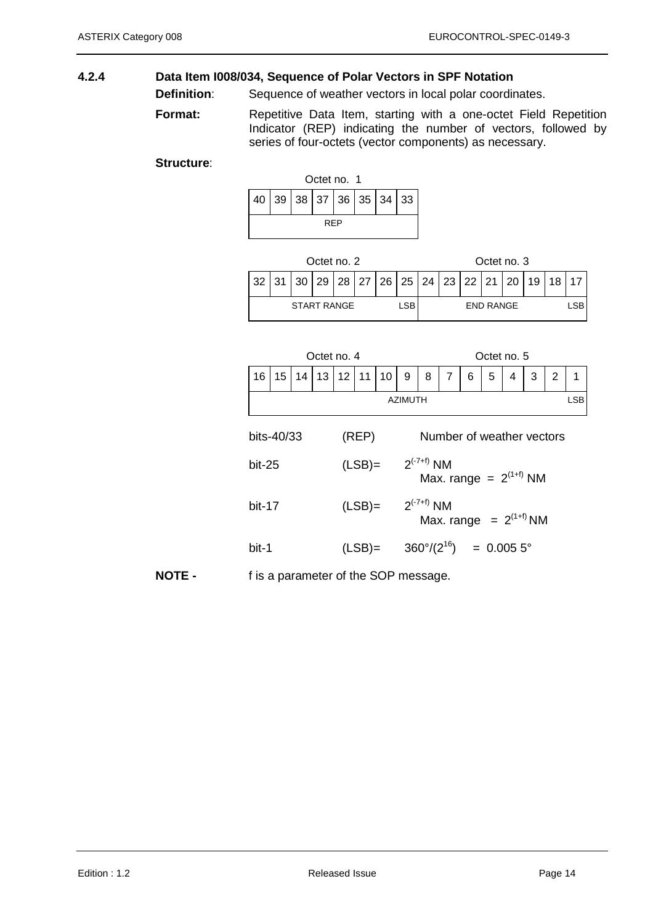#### **4.2.4 Data Item I008/034, Sequence of Polar Vectors in SPF Notation**

**Definition:** Sequence of weather vectors in local polar coordinates.

Format: Repetitive Data Item, starting with a one-octet Field Repetition Indicator (REP) indicating the number of vectors, followed by series of four-octets (vector components) as necessary.

#### **Structure**:



|                                                                      |  |  | Octet no. 2 |  |  |     | Octet no. 3      |  |  |  |  |  |  |     |
|----------------------------------------------------------------------|--|--|-------------|--|--|-----|------------------|--|--|--|--|--|--|-----|
| 30   29   28   27   26   25   24   23   22   21   20   19   18<br>31 |  |  |             |  |  |     |                  |  |  |  |  |  |  |     |
|                                                                      |  |  | START RANGE |  |  | LSB | <b>END RANGE</b> |  |  |  |  |  |  | LSB |

|                | Octet no. 4                                                 |  |  |  |  |  |  |  |  |  | Octet no. 5 |     |  |
|----------------|-------------------------------------------------------------|--|--|--|--|--|--|--|--|--|-------------|-----|--|
| 16             | 14   13   12   11   10  <br>9<br>$15$  <br>8<br>5<br>6<br>ົ |  |  |  |  |  |  |  |  |  |             |     |  |
| <b>AZIMUTH</b> |                                                             |  |  |  |  |  |  |  |  |  |             | LSB |  |

| bits-40/33 | (REP)     | Number of weather vectors                      |
|------------|-----------|------------------------------------------------|
| $bit-25$   | $(LSB) =$ | $2^{(-7+f)}$ NM<br>Max. range = $2^{(1+f)}$ NM |
| bit-17     | $(LSB) =$ | $2^{(-7+f)}$ NM<br>Max. range = $2^{(1+f)}$ NM |
| bit-1      | $(LSB) =$ | $360^{\circ}/(2^{16})$ = 0.005 5°              |
|            |           |                                                |

**NOTE -** f is a parameter of the SOP message.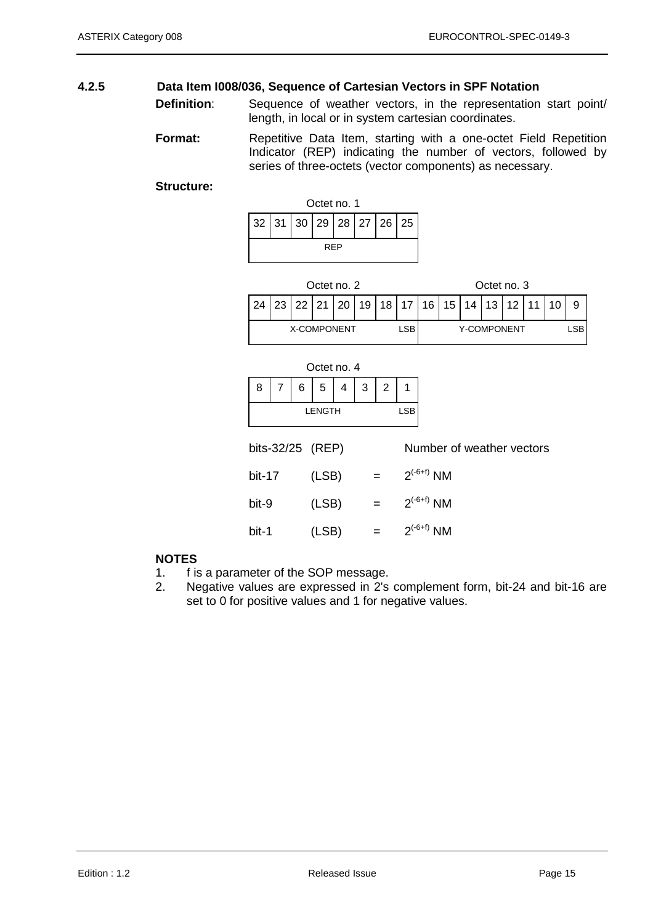- **4.2.5 Data Item I008/036, Sequence of Cartesian Vectors in SPF Notation** 
	- **Definition:** Sequence of weather vectors, in the representation start point/ length, in local or in system cartesian coordinates.
	- **Format:** Repetitive Data Item, starting with a one-octet Field Repetition Indicator (REP) indicating the number of vectors, followed by series of three-octets (vector components) as necessary.

#### **Structure:**







# **NOTES**

1. f is a parameter of the SOP message.

 2. Negative values are expressed in 2's complement form, bit-24 and bit-16 are set to 0 for positive values and 1 for negative values.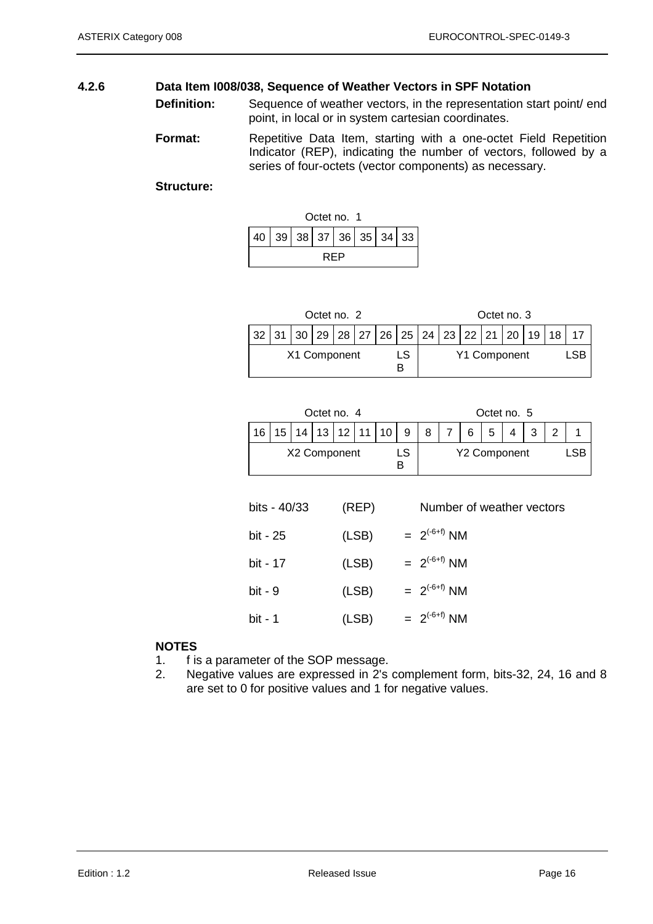- **4.2.6 Data Item I008/038, Sequence of Weather Vectors in SPF Notation** 
	- **Definition:** Sequence of weather vectors, in the representation start point/ end point, in local or in system cartesian coordinates.
	- **Format:** Repetitive Data Item, starting with a one-octet Field Repetition Indicator (REP), indicating the number of vectors, followed by a series of four-octets (vector components) as necessary.

## **Structure:**

| Octet no. 1 |                                       |  |  |  |  |  |  |  |  |  |
|-------------|---------------------------------------|--|--|--|--|--|--|--|--|--|
|             | 40   39   38   37   36   35   34   33 |  |  |  |  |  |  |  |  |  |
| RFP         |                                       |  |  |  |  |  |  |  |  |  |

| Octet no. 2                                                    |  |  |              |  |  |    |              |  |  |  | Octet no. 3 |  |  |
|----------------------------------------------------------------|--|--|--------------|--|--|----|--------------|--|--|--|-------------|--|--|
| 30   29   28   27   26   25   24   23   22   21   20   19   18 |  |  |              |  |  |    |              |  |  |  |             |  |  |
|                                                                |  |  | X1 Component |  |  | LS | Y1 Component |  |  |  |             |  |  |

|                    |                                     |  |  | Octet no. 4 |  |  |  |  |  |   | Octet no. 5         |   |   |  |
|--------------------|-------------------------------------|--|--|-------------|--|--|--|--|--|---|---------------------|---|---|--|
|                    | 15   14   13   12   11   10  <br>-9 |  |  |             |  |  |  |  |  | 6 |                     | ົ | ◠ |  |
| X2 Component<br>LS |                                     |  |  |             |  |  |  |  |  |   | <b>Y2 Component</b> |   |   |  |

| bits - 40/33 | (REP) | Number of weather vectors |
|--------------|-------|---------------------------|
| bit - 25     | (LSB) | $= 2^{(-6+f)}$ NM         |
| bit - 17     | (LSB) | $= 2^{(-6+f)}$ NM         |
| $bit - 9$    | (LSB) | $= 2^{(-6+f)}$ NM         |
| $bit - 1$    | (LSB) | $= 2^{(-6+f)}$ NM         |

# **NOTES**

- 1. f is a parameter of the SOP message.
- 2. Negative values are expressed in 2's complement form, bits-32, 24, 16 and 8 are set to 0 for positive values and 1 for negative values.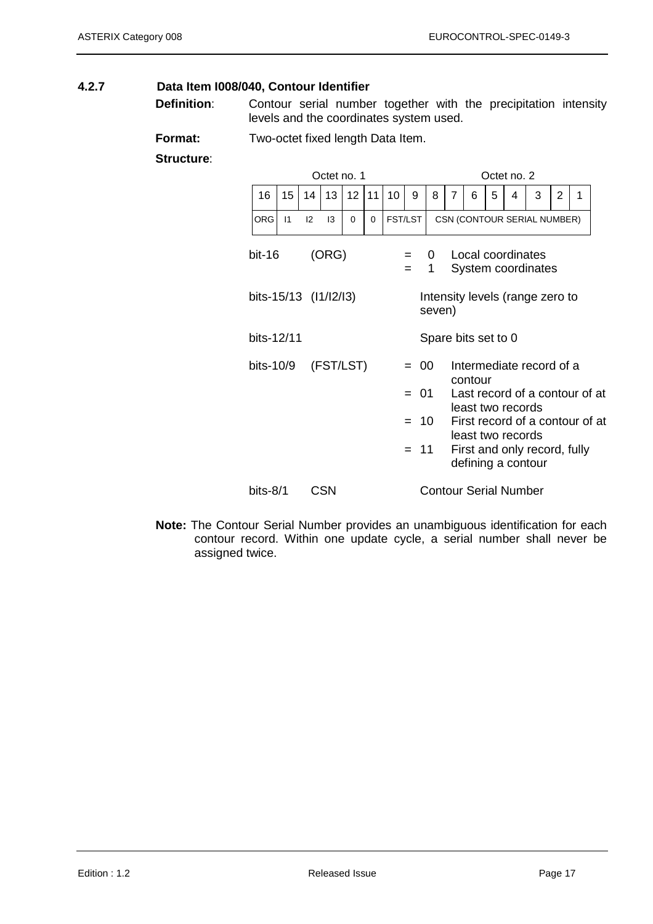## **4.2.7 Data Item I008/040, Contour Identifier**

**Definition:** Contour serial number together with the precipitation intensity levels and the coordinates system used.

**Format:** Two-octet fixed length Data Item.

#### **Structure**:

| Octet no. 1                                          |           |    |            |             |             |                                                                                 |                | Octet no. 2    |   |                     |   |                              |                                                    |   |                                |  |
|------------------------------------------------------|-----------|----|------------|-------------|-------------|---------------------------------------------------------------------------------|----------------|----------------|---|---------------------|---|------------------------------|----------------------------------------------------|---|--------------------------------|--|
| 13<br>12<br>15 <sub>15</sub><br>10<br>16<br>14<br>11 |           |    |            |             |             | 9                                                                               | 8              | $\overline{7}$ | 6 | 5                   | 4 | 3                            | 2                                                  | 1 |                                |  |
| <b>ORG</b>                                           | $\vert$ 1 | 12 | 3          | $\mathbf 0$ | $\mathbf 0$ |                                                                                 | <b>FST/LST</b> |                |   |                     |   |                              | CSN (CONTOUR SERIAL NUMBER)                        |   |                                |  |
| $bit-16$                                             |           |    | (ORG)      |             |             |                                                                                 | $=$<br>$=$     | 0<br>1         |   |                     |   | Local coordinates            | System coordinates                                 |   |                                |  |
| bits-15/13 (I1/I2/I3)                                |           |    |            |             |             |                                                                                 |                | seven)         |   |                     |   |                              | Intensity levels (range zero to                    |   |                                |  |
| bits-12/11                                           |           |    |            |             |             |                                                                                 |                |                |   | Spare bits set to 0 |   |                              |                                                    |   |                                |  |
| bits-10/9                                            |           |    | (FST/LST)  |             |             |                                                                                 | $= 00$         |                |   | contour             |   |                              | Intermediate record of a                           |   |                                |  |
|                                                      |           |    |            |             |             |                                                                                 | $= 01$         |                |   |                     |   |                              |                                                    |   | Last record of a contour of at |  |
|                                                      |           |    |            |             | $=$         | least two records<br>First record of a contour of at<br>10<br>least two records |                |                |   |                     |   |                              |                                                    |   |                                |  |
|                                                      |           |    |            |             |             |                                                                                 | $= 11$         |                |   |                     |   |                              | First and only record, fully<br>defining a contour |   |                                |  |
| bits-8/1                                             |           |    | <b>CSN</b> |             |             |                                                                                 |                |                |   |                     |   | <b>Contour Serial Number</b> |                                                    |   |                                |  |

**Note:** The Contour Serial Number provides an unambiguous identification for each contour record. Within one update cycle, a serial number shall never be assigned twice.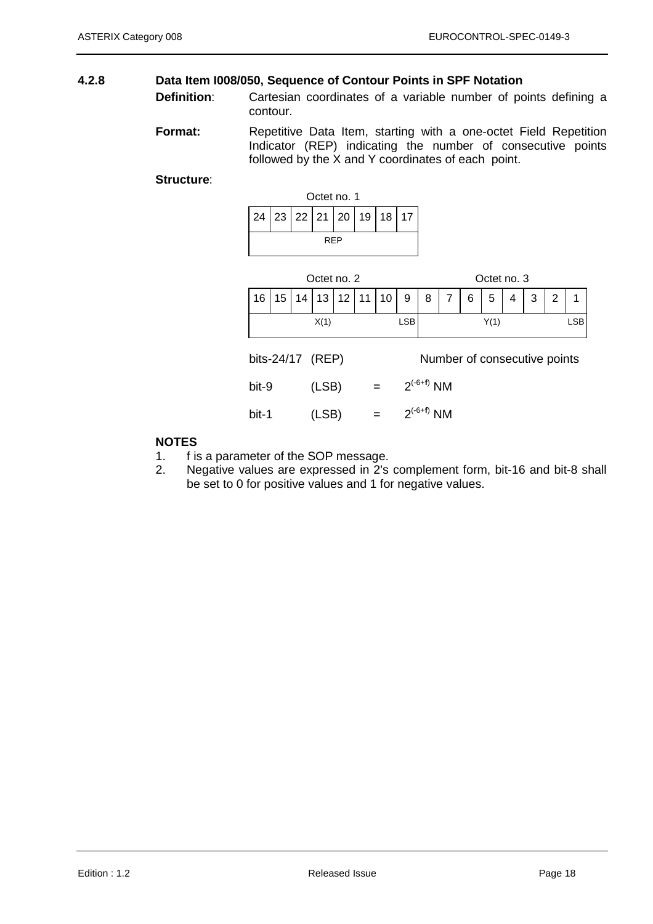- **4.2.8 Data Item I008/050, Sequence of Contour Points in SPF Notation** 
	- **Definition:** Cartesian coordinates of a variable number of points defining a contour.
	- **Format:** Repetitive Data Item, starting with a one-octet Field Repetition Indicator (REP) indicating the number of consecutive points followed by the X and Y coordinates of each point.

#### **Structure**:



|                                                  |  |  | Octet no. 3 |  |  |                                                                                 |     |  |  |  |  |  |  |   |     |
|--------------------------------------------------|--|--|-------------|--|--|---------------------------------------------------------------------------------|-----|--|--|--|--|--|--|---|-----|
| 16 <sup>1</sup>                                  |  |  |             |  |  | 15   14   13   12   11   10  <br>$\mathbf{3}$<br>9<br>$8 \mid 7$<br>4<br>6<br>5 |     |  |  |  |  |  |  | 2 |     |
|                                                  |  |  | X(1)        |  |  |                                                                                 | LSB |  |  |  |  |  |  |   | LSB |
| bits-24/17 (REP)<br>Number of consecutive points |  |  |             |  |  |                                                                                 |     |  |  |  |  |  |  |   |     |

| bit-9 | (LSB) | = | $2^{(-6+f)}$ NM |
|-------|-------|---|-----------------|
| bit-1 | (LSB) | = | $2^{(-6+f)}$ NM |

#### **NOTES**

- 1. f is a parameter of the SOP message.
- 2. Negative values are expressed in 2's complement form, bit-16 and bit-8 shall be set to 0 for positive values and 1 for negative values.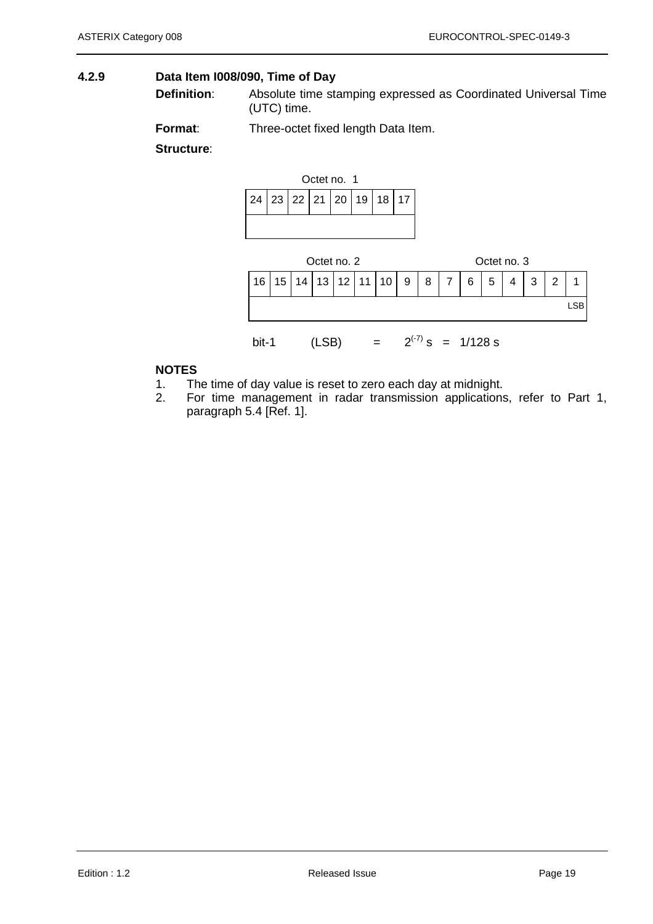## **4.2.9 Data Item I008/090, Time of Day**

**Definition**: Absolute time stamping expressed as Coordinated Universal Time (UTC) time.

**Format:** Three-octet fixed length Data Item.

#### **Structure**:





#### **NOTES**

- 1. The time of day value is reset to zero each day at midnight.
- 2. For time management in radar transmission applications, refer to Part 1, paragraph 5.4 [Ref. 1].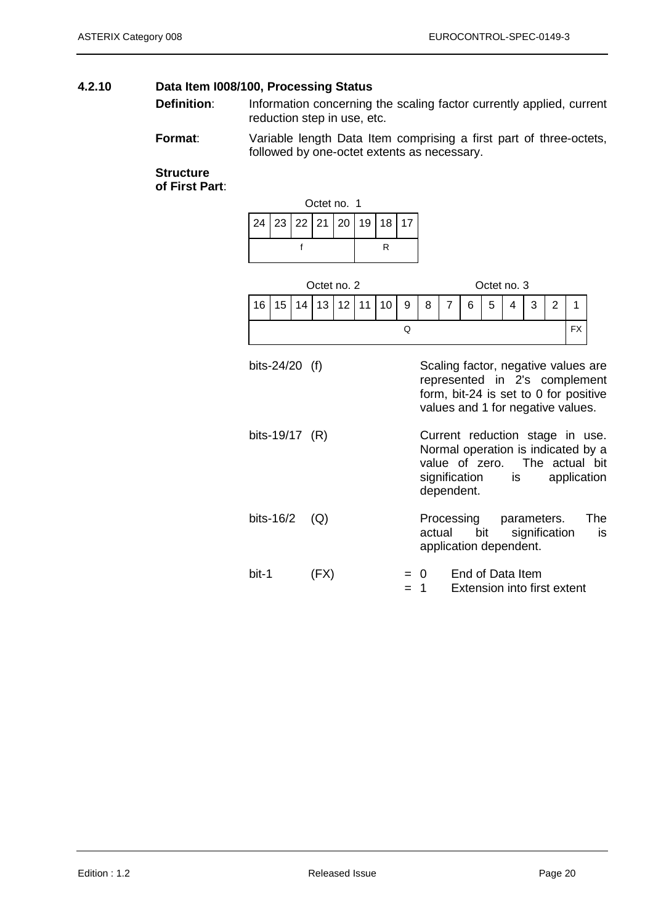#### **4.2.10 Data Item I008/100, Processing Status**

- **Definition:** Information concerning the scaling factor currently applied, current reduction step in use, etc.
- **Format:** Variable length Data Item comprising a first part of three-octets, followed by one-octet extents as necessary.

# **Structure**

# **of First Part**:



| Octet no. 2 |    |    |  |  |  |  | Octet no. 3                  |  |       |  |   |   |   |   |  |
|-------------|----|----|--|--|--|--|------------------------------|--|-------|--|---|---|---|---|--|
|             | 16 | 15 |  |  |  |  | $14$   13   12   11   10   9 |  | 8   7 |  | 6 | 5 | 4 | 2 |  |
|             |    |    |  |  |  |  |                              |  |       |  |   |   |   |   |  |

bits-24/20 (f) Scaling factor, negative values are represented in 2's complement form, bit-24 is set to 0 for positive values and 1 for negative values.

- bits-19/17 (R) Current reduction stage in use. Normal operation is indicated by a value of zero. The actual bit signification is application dependent. bits-16/2 (Q) Processing parameters. The
	- actual bit signification is application dependent.
	- $bit-1$   $(FX)$  = 0 End of Data Item = 1 Extension into first extent

Edition : 1.2 Page 20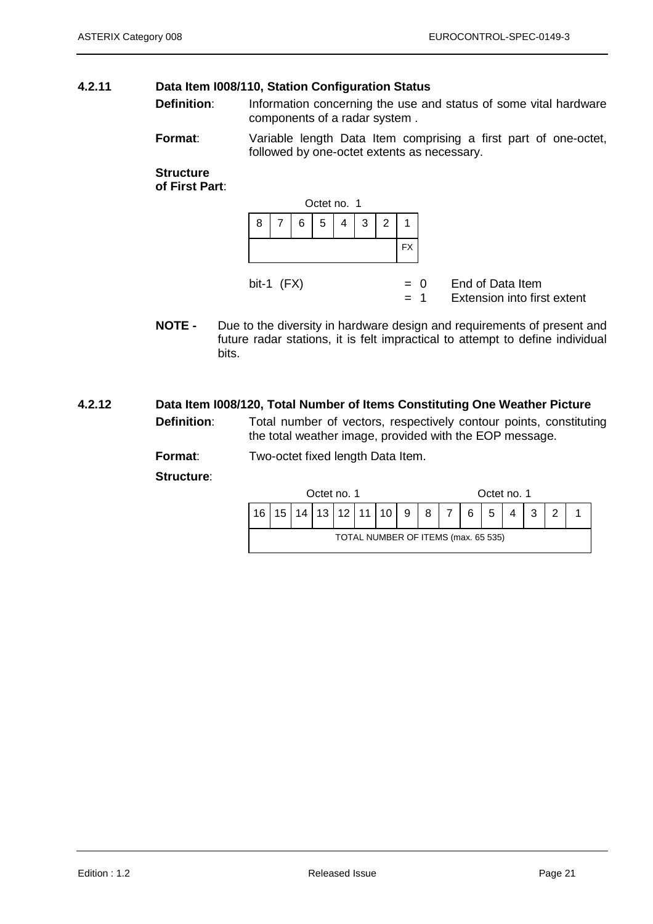#### **4.2.11 Data Item I008/110, Station Configuration Status**

- **Definition:** Information concerning the use and status of some vital hardware components of a radar system .
- **Format:** Variable length Data Item comprising a first part of one-octet, followed by one-octet extents as necessary.

# **Structure**

# **of First Part**:



**NOTE -** Due to the diversity in hardware design and requirements of present and future radar stations, it is felt impractical to attempt to define individual bits.

# **4.2.12 Data Item I008/120, Total Number of Items Constituting One Weather Picture**

- **Definition:** Total number of vectors, respectively contour points, constituting the total weather image, provided with the EOP message.
- **Format:** Two-octet fixed length Data Item.

#### **Structure**:

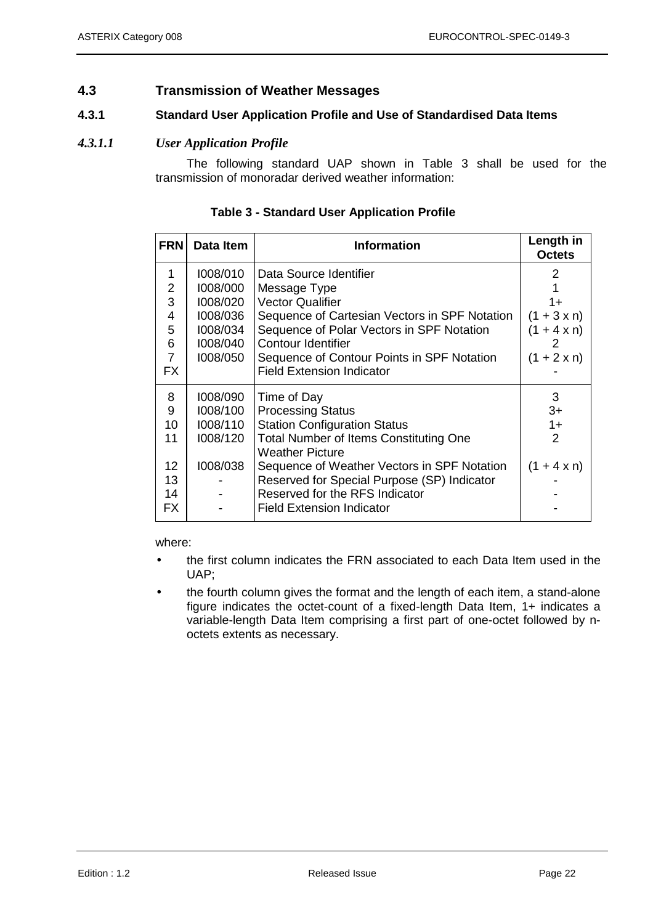## **4.3 Transmission of Weather Messages**

## **4.3.1 Standard User Application Profile and Use of Standardised Data Items**

#### *4.3.1.1 User Application Profile*

The following standard UAP shown in Table 3 shall be used for the transmission of monoradar derived weather information:

| <b>FRN</b>     | Data Item | <b>Information</b>                            | Length in<br><b>Octets</b> |
|----------------|-----------|-----------------------------------------------|----------------------------|
| 1              | 1008/010  | Data Source Identifier                        | 2                          |
| 2              | 1008/000  | Message Type                                  |                            |
| 3              | 1008/020  | <b>Vector Qualifier</b>                       | $1 +$                      |
| 4              | 1008/036  | Sequence of Cartesian Vectors in SPF Notation | $(1 + 3 \times n)$         |
| 5              | 1008/034  | Sequence of Polar Vectors in SPF Notation     | $(1 + 4 \times n)$         |
| 6              | 1008/040  | <b>Contour Identifier</b>                     | 2                          |
| $\overline{7}$ | 1008/050  | Sequence of Contour Points in SPF Notation    | $(1 + 2 \times n)$         |
| <b>FX</b>      |           | <b>Field Extension Indicator</b>              |                            |
| 8              | 1008/090  | Time of Day                                   | 3                          |
| 9              | 1008/100  | <b>Processing Status</b>                      | $3+$                       |
| 10             | 1008/110  | <b>Station Configuration Status</b>           | $1+$                       |
| 11             | 1008/120  | <b>Total Number of Items Constituting One</b> | 2                          |
|                |           | <b>Weather Picture</b>                        |                            |
| 12             | 1008/038  | Sequence of Weather Vectors in SPF Notation   | $(1 + 4 \times n)$         |
| 13             |           | Reserved for Special Purpose (SP) Indicator   |                            |
| 14             |           | Reserved for the RFS Indicator                |                            |
| FX             |           | <b>Field Extension Indicator</b>              |                            |

# **Table 3 - Standard User Application Profile**

#### where:

- the first column indicates the FRN associated to each Data Item used in the UAP;
- the fourth column gives the format and the length of each item, a stand-alone figure indicates the octet-count of a fixed-length Data Item, 1+ indicates a variable-length Data Item comprising a first part of one-octet followed by noctets extents as necessary.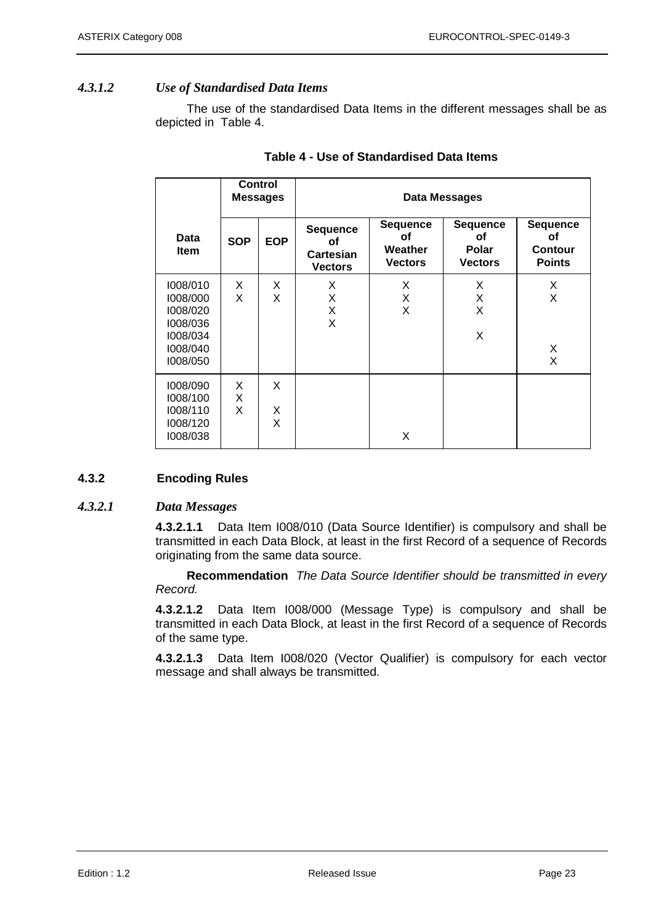# *4.3.1.2 Use of Standardised Data Items*

 The use of the standardised Data Items in the different messages shall be as depicted in Table 4.

|                                                                                  |                          | <b>Control</b><br><b>Messages</b> | Data Messages                                               |                                                    |                                                         |                                                          |  |  |  |
|----------------------------------------------------------------------------------|--------------------------|-----------------------------------|-------------------------------------------------------------|----------------------------------------------------|---------------------------------------------------------|----------------------------------------------------------|--|--|--|
| Data<br><b>Item</b>                                                              | <b>SOP</b><br><b>EOP</b> |                                   | <b>Sequence</b><br>οf<br><b>Cartesian</b><br><b>Vectors</b> | <b>Sequence</b><br>οf<br>Weather<br><b>Vectors</b> | <b>Sequence</b><br>of<br><b>Polar</b><br><b>Vectors</b> | <b>Sequence</b><br>οf<br><b>Contour</b><br><b>Points</b> |  |  |  |
| 1008/010<br>1008/000<br>1008/020<br>1008/036<br>1008/034<br>1008/040<br>1008/050 | X<br>X                   | X<br>X                            | X<br>X<br>X<br>X                                            | Χ<br>Χ<br>X                                        | X<br>X<br>X<br>X                                        | X<br>X<br>X<br>X                                         |  |  |  |
| 1008/090<br>1008/100<br>1008/110<br>1008/120<br>1008/038                         | X<br>X<br>X              | X<br>X<br>X                       |                                                             | X                                                  |                                                         |                                                          |  |  |  |

#### **Table 4 - Use of Standardised Data Items**

## **4.3.2 Encoding Rules**

#### *4.3.2.1 Data Messages*

**4.3.2.1.1** Data Item I008/010 (Data Source Identifier) is compulsory and shall be transmitted in each Data Block, at least in the first Record of a sequence of Records originating from the same data source.

 **Recommendation** The Data Source Identifier should be transmitted in every Record.

**4.3.2.1.2** Data Item I008/000 (Message Type) is compulsory and shall be transmitted in each Data Block, at least in the first Record of a sequence of Records of the same type.

**4.3.2.1.3** Data Item I008/020 (Vector Qualifier) is compulsory for each vector message and shall always be transmitted.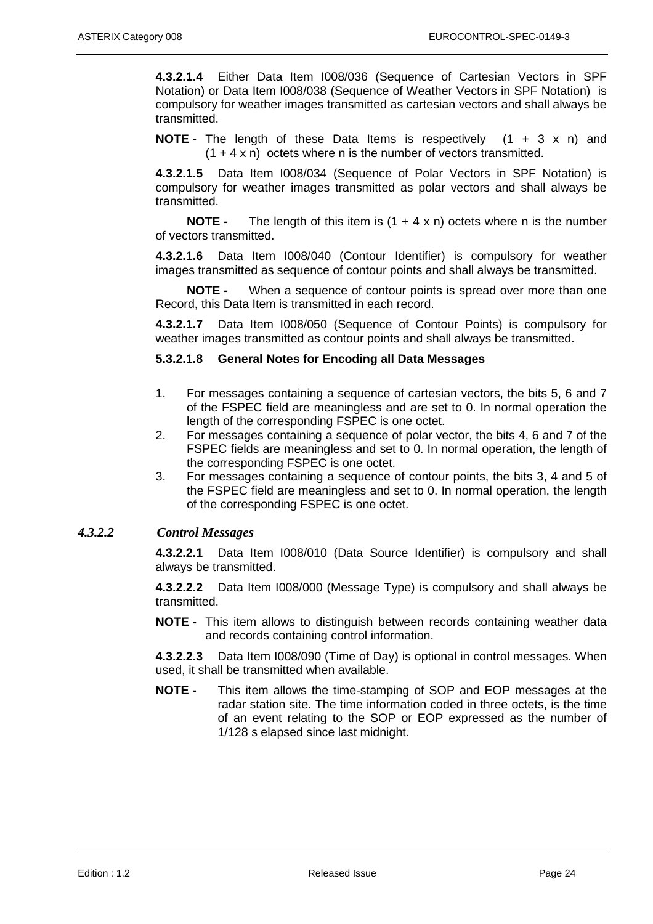**4.3.2.1.4** Either Data Item I008/036 (Sequence of Cartesian Vectors in SPF Notation) or Data Item I008/038 (Sequence of Weather Vectors in SPF Notation) is compulsory for weather images transmitted as cartesian vectors and shall always be transmitted.

**NOTE** - The length of these Data Items is respectively (1 + 3 x n) and  $(1 + 4 x n)$  octets where n is the number of vectors transmitted.

**4.3.2.1.5** Data Item I008/034 (Sequence of Polar Vectors in SPF Notation) is compulsory for weather images transmitted as polar vectors and shall always be transmitted.

**NOTE -** The length of this item is  $(1 + 4 \times n)$  octets where n is the number of vectors transmitted.

**4.3.2.1.6** Data Item I008/040 (Contour Identifier) is compulsory for weather images transmitted as sequence of contour points and shall always be transmitted.

**NOTE -** When a sequence of contour points is spread over more than one Record, this Data Item is transmitted in each record.

**4.3.2.1.7** Data Item I008/050 (Sequence of Contour Points) is compulsory for weather images transmitted as contour points and shall always be transmitted.

## **5.3.2.1.8 General Notes for Encoding all Data Messages**

- 1. For messages containing a sequence of cartesian vectors, the bits 5, 6 and 7 of the FSPEC field are meaningless and are set to 0. In normal operation the length of the corresponding FSPEC is one octet.
- 2. For messages containing a sequence of polar vector, the bits 4, 6 and 7 of the FSPEC fields are meaningless and set to 0. In normal operation, the length of the corresponding FSPEC is one octet.
- 3. For messages containing a sequence of contour points, the bits 3, 4 and 5 of the FSPEC field are meaningless and set to 0. In normal operation, the length of the corresponding FSPEC is one octet.

#### *4.3.2.2 Control Messages*

**4.3.2.2.1** Data Item I008/010 (Data Source Identifier) is compulsory and shall always be transmitted.

**4.3.2.2.2** Data Item I008/000 (Message Type) is compulsory and shall always be transmitted.

**NOTE -** This item allows to distinguish between records containing weather data and records containing control information.

**4.3.2.2.3** Data Item I008/090 (Time of Day) is optional in control messages. When used, it shall be transmitted when available.

 **NOTE -** This item allows the time-stamping of SOP and EOP messages at the radar station site. The time information coded in three octets, is the time of an event relating to the SOP or EOP expressed as the number of 1/128 s elapsed since last midnight.